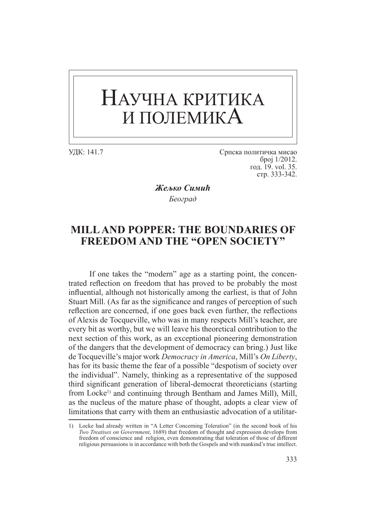## НАУЧНА КРИТИКА И ПОЛЕМИКА

УДК: 141.7 Српска политичка мисао број 1/2012. год. 19. vol. 35. стр. 333-342.

> *Жељко Симић Београд*

## **MILL AND POPPER: THE BOUNDARIES OF FREEDOM AND THE "OPEN SOCIETY"**

If one takes the "modern" age as a starting point, the concentrated reflection on freedom that has proved to be probably the most influential, although not historically among the earliest, is that of John Stuart Mill. (As far as the significance and ranges of perception of such reflection are concerned, if one goes back even further, the reflections of Alexis de Tocqueville, who was in many respects Mill's teacher, are every bit as worthy, but we will leave his theoretical contribution to the next section of this work, as an exceptional pioneering demonstration of the dangers that the development of democracy can bring.) Just like de Tocqueville's major work *Democracy in America*, Mill's *On Liberty*, has for its basic theme the fear of a possible "despotism of society over the individual". Namely, thinking as a representative of the supposed third significant generation of liberal-democrat theoreticians (starting from Locke<sup>1)</sup> and continuing through Bentham and James Mill), Mill, as the nucleus of the mature phase of thought, adopts a clear view of limitations that carry with them an enthusiastic advocation of a utilitar-

<sup>1)</sup> Locke had already written in "A Letter Concerning Toleration" (in the second book of his *Two Treatises on Government*, 1689) that freedom of thought and expression develops from freedom of conscience and religion, even demonstrating that toleration of those of different religious persuasions is in accordance with both the Gospels and with mankind's true intellect.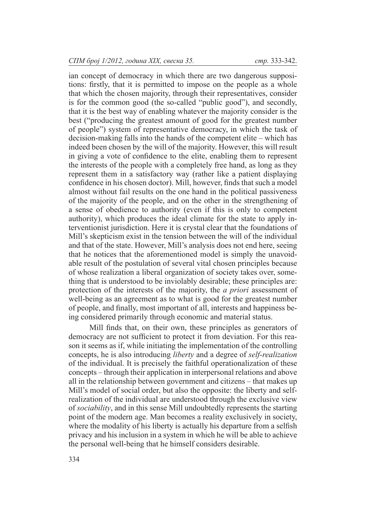ian concept of democracy in which there are two dangerous suppositions: firstly, that it is permitted to impose on the people as a whole that which the chosen majority, through their representatives, consider is for the common good (the so-called "public good"), and secondly, that it is the best way of enabling whatever the majority consider is the best ("producing the greatest amount of good for the greatest number of people") system of representative democracy, in which the task of decision-making falls into the hands of the competent elite – which has indeed been chosen by the will of the majority. However, this will result in giving a vote of confidence to the elite, enabling them to represent the interests of the people with a completely free hand, as long as they represent them in a satisfactory way (rather like a patient displaying confidence in his chosen doctor). Mill, however, finds that such a model almost without fail results on the one hand in the political passiveness of the majority of the people, and on the other in the strengthening of a sense of obedience to authority (even if this is only to competent authority), which produces the ideal climate for the state to apply interventionist jurisdiction. Here it is crystal clear that the foundations of Mill's skepticism exist in the tension between the will of the individual and that of the state. However, Mill's analysis does not end here, seeing that he notices that the aforementioned model is simply the unavoidable result of the postulation of several vital chosen principles because of whose realization a liberal organization of society takes over, something that is understood to be inviolably desirable; these principles are: protection of the interests of the majority, the *a priori* assessment of well-being as an agreement as to what is good for the greatest number of people, and finally, most important of all, interests and happiness being considered primarily through economic and material status.

Mill finds that, on their own, these principles as generators of democracy are not sufficient to protect it from deviation. For this reason it seems as if, while initiating the implementation of the controlling concepts, he is also introducing *liberty* and a degree of *self-realization* of the individual. It is precisely the faithful operationalization of these concepts – through their application in interpersonal relations and above all in the relationship between government and citizens – that makes up Mill's model of social order, but also the opposite: the liberty and selfrealization of the individual are understood through the exclusive view of *sociability*, and in this sense Mill undoubtedly represents the starting point of the modern age. Man becomes a reality exclusively in society, where the modality of his liberty is actually his departure from a selfish privacy and his inclusion in a system in which he will be able to achieve the personal well-being that he himself considers desirable.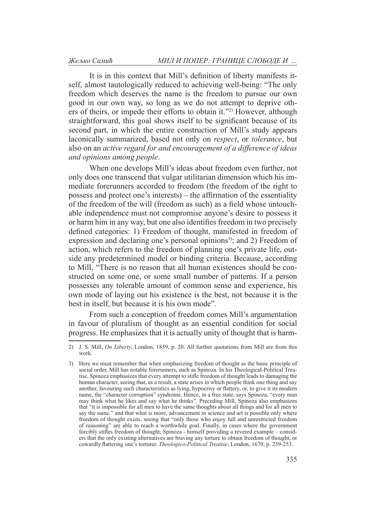It is in this context that Mill's definition of liberty manifests itself, almost tautologically reduced to achieving well-being: "The only freedom which deserves the name is the freedom to pursue our own good in our own way, so long as we do not attempt to deprive others of theirs, or impede their efforts to obtain it."2) However, although straightforward, this goal shows itself to be significant because of its second part, in which the entire construction of Mill's study appears laconically summarized, based not only on *respect*, or *tolerance*, but also on an *active regard for and encouragement of a difference of ideas and opinions among people*.

When one develops Mill's ideas about freedom even further, not only does one transcend that vulgar utilitarian dimension which his immediate forerunners accorded to freedom (the freedom of the right to possess and protect one's interests) – the affirmation of the essentiality of the freedom of the will (freedom as such) as a field whose untouchable independence must not compromise anyone's desire to possess it or harm him in any way, but one also identifies freedom in two precisely defined categories: 1) Freedom of thought, manifested in freedom of expression and declaring one's personal opinions<sup>3)</sup>; and 2) Freedom of action, which refers to the freedom of planning one's private life, outside any predetermined model or binding criteria. Because, according to Mill, "There is no reason that all human existences should be constructed on some one, or some small number of patterns. If a person possesses any tolerable amount of common sense and experience, his own mode of laying out his existence is the best, not because it is the best in itself, but because it is his own mode".

From such a conception of freedom comes Mill's argumentation in favour of pluralism of thought as an essential condition for social progress. He emphasizes that it is actually unity of thought that is harm-

<sup>2)</sup> J. S. Mill, *On Liberty*, London, 1859, p. 20. All further quotations from Mill are from this work.

<sup>3)</sup> Here we must remember that when emphasizing freedom of thought as the basic principle of social order, Mill has notable forerunners, such as Spinoza. In his Theological-Political Treatise, Spinoza emphasizes that every attempt to stifle freedom of thought leads to damaging the human character, seeing that, as a result, a state arises in which people think one thing and say another, favouring such characteristics as lying, hypocrisy or flattery, or, to give it its modern name, the "character corruption" syndrome. Hence, in a free state, says Spinoza, "every man may think what he likes and say what he thinks". Preceding Mill, Spinoza also emphasizes that "it is impossible for all men to have the same thoughts about all things and for all men to say the same." and that what is more, advancement in science and art is possible only where freedom of thought exists, seeing that "only those who enjoy full and unrestricted freedom of reasoning" are able to reach a worthwhile goal. Finally, in cases where the government forcibly stifles freedom of thought, Spinoza - himself providing a revered example – considers that the only existing alternatives are braving any torture to obtain freedom of thought, or cowardly flattering one's torturer. *Theologico-Political Treatise*, London, 1670, p. 239-253.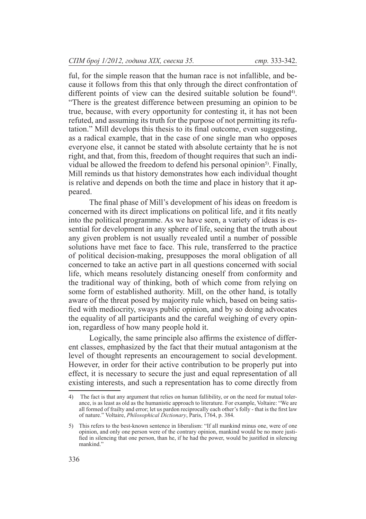ful, for the simple reason that the human race is not infallible, and because it follows from this that only through the direct confrontation of different points of view can the desired suitable solution be found<sup>4)</sup>. "There is the greatest difference between presuming an opinion to be true, because, with every opportunity for contesting it, it has not been refuted, and assuming its truth for the purpose of not permitting its refutation." Mill develops this thesis to its final outcome, even suggesting, as a radical example, that in the case of one single man who opposes everyone else, it cannot be stated with absolute certainty that he is not right, and that, from this, freedom of thought requires that such an individual be allowed the freedom to defend his personal opinion<sup>5)</sup>. Finally, Mill reminds us that history demonstrates how each individual thought is relative and depends on both the time and place in history that it appeared.

The final phase of Mill's development of his ideas on freedom is concerned with its direct implications on political life, and it fits neatly into the political programme. As we have seen, a variety of ideas is essential for development in any sphere of life, seeing that the truth about any given problem is not usually revealed until a number of possible solutions have met face to face. This rule, transferred to the practice of political decision-making, presupposes the moral obligation of all concerned to take an active part in all questions concerned with social life, which means resolutely distancing oneself from conformity and the traditional way of thinking, both of which come from relying on some form of established authority. Mill, on the other hand, is totally aware of the threat posed by majority rule which, based on being satisfied with mediocrity, sways public opinion, and by so doing advocates the equality of all participants and the careful weighing of every opinion, regardless of how many people hold it.

Logically, the same principle also affirms the existence of different classes, emphasized by the fact that their mutual antagonism at the level of thought represents an encouragement to social development. However, in order for their active contribution to be properly put into effect, it is necessary to secure the just and equal representation of all existing interests, and such a representation has to come directly from

<sup>4)</sup> The fact is that any argument that relies on human fallibility, or on the need for mutual tolerance, is as least as old as the humanistic approach to literature. For example, Voltaire: "We are all formed of frailty and error; let us pardon reciprocally each other's folly - that is the first law of nature." Voltaire, *Philosophical Dictionary*, Paris, 1764, p. 384.

<sup>5)</sup> This refers to the best-known sentence in liberalism: "If all mankind minus one, were of one opinion, and only one person were of the contrary opinion, mankind would be no more justified in silencing that one person, than he, if he had the power, would be justified in silencing mankind."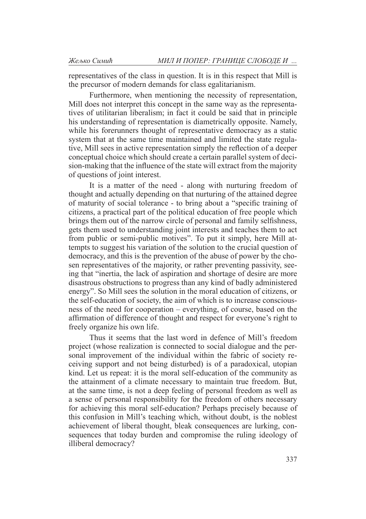representatives of the class in question. It is in this respect that Mill is the precursor of modern demands for class egalitarianism.

Furthermore, when mentioning the necessity of representation, Mill does not interpret this concept in the same way as the representatives of utilitarian liberalism; in fact it could be said that in principle his understanding of representation is diametrically opposite. Namely, while his forerunners thought of representative democracy as a static system that at the same time maintained and limited the state regulative, Mill sees in active representation simply the reflection of a deeper conceptual choice which should create a certain parallel system of decision-making that the influence of the state will extract from the majority of questions of joint interest.

It is a matter of the need - along with nurturing freedom of thought and actually depending on that nurturing of the attained degree of maturity of social tolerance - to bring about a "specific training of citizens, a practical part of the political education of free people which brings them out of the narrow circle of personal and family selfishness, gets them used to understanding joint interests and teaches them to act from public or semi-public motives". To put it simply, here Mill attempts to suggest his variation of the solution to the crucial question of democracy, and this is the prevention of the abuse of power by the chosen representatives of the majority, or rather preventing passivity, seeing that "inertia, the lack of aspiration and shortage of desire are more disastrous obstructions to progress than any kind of badly administered energy". So Mill sees the solution in the moral education of citizens, or the self-education of society, the aim of which is to increase consciousness of the need for cooperation – everything, of course, based on the affirmation of difference of thought and respect for everyone's right to freely organize his own life.

Thus it seems that the last word in defence of Mill's freedom project (whose realization is connected to social dialogue and the personal improvement of the individual within the fabric of society receiving support and not being disturbed) is of a paradoxical, utopian kind. Let us repeat: it is the moral self-education of the community as the attainment of a climate necessary to maintain true freedom. But, at the same time, is not a deep feeling of personal freedom as well as a sense of personal responsibility for the freedom of others necessary for achieving this moral self-education? Perhaps precisely because of this confusion in Mill's teaching which, without doubt, is the noblest achievement of liberal thought, bleak consequences are lurking, consequences that today burden and compromise the ruling ideology of illiberal democracy?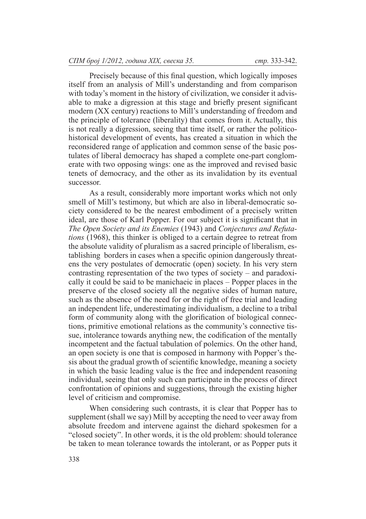Precisely because of this final question, which logically imposes itself from an analysis of Mill's understanding and from comparison with today's moment in the history of civilization, we consider it advisable to make a digression at this stage and briefly present significant modern (XX century) reactions to Mill's understanding of freedom and the principle of tolerance (liberality) that comes from it. Actually, this is not really a digression, seeing that time itself, or rather the politicohistorical development of events, has created a situation in which the reconsidered range of application and common sense of the basic postulates of liberal democracy has shaped a complete one-part conglomerate with two opposing wings: one as the improved and revised basic tenets of democracy, and the other as its invalidation by its eventual successor.

As a result, considerably more important works which not only smell of Mill's testimony, but which are also in liberal-democratic society considered to be the nearest embodiment of a precisely written ideal, are those of Karl Popper. For our subject it is significant that in *The Open Society and its Enemies* (1943) and *Conjectures and Refutations* (1968), this thinker is obliged to a certain degree to retreat from the absolute validity of pluralism as a sacred principle of liberalism, establishing borders in cases when a specific opinion dangerously threatens the very postulates of democratic (open) society. In his very stern contrasting representation of the two types of society – and paradoxically it could be said to be manichaeic in places – Popper places in the preserve of the closed society all the negative sides of human nature, such as the absence of the need for or the right of free trial and leading an independent life, underestimating individualism, a decline to a tribal form of community along with the glorification of biological connections, primitive emotional relations as the community's connective tissue, intolerance towards anything new, the codification of the mentally incompetent and the factual tabulation of polemics. On the other hand, an open society is one that is composed in harmony with Popper's thesis about the gradual growth of scientific knowledge, meaning a society in which the basic leading value is the free and independent reasoning individual, seeing that only such can participate in the process of direct confrontation of opinions and suggestions, through the existing higher level of criticism and compromise.

When considering such contrasts, it is clear that Popper has to supplement (shall we say) Mill by accepting the need to veer away from absolute freedom and intervene against the diehard spokesmen for a "closed society". In other words, it is the old problem: should tolerance be taken to mean tolerance towards the intolerant, or as Popper puts it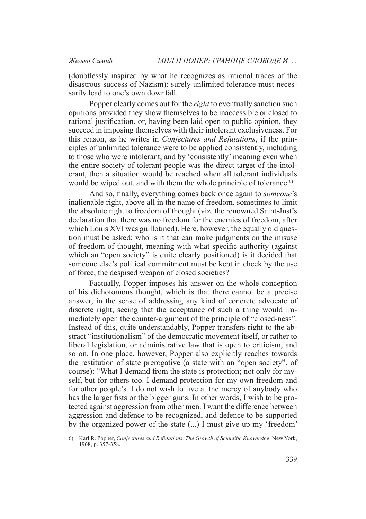(doubtlessly inspired by what he recognizes as rational traces of the disastrous success of Nazism): surely unlimited tolerance must necessarily lead to one's own downfall.

Popper clearly comes out for the *right* to eventually sanction such opinions provided they show themselves to be inaccessible or closed to rational justification, or, having been laid open to public opinion, they succeed in imposing themselves with their intolerant exclusiveness. For this reason, as he writes in *Conjectures and Refutations*, if the principles of unlimited tolerance were to be applied consistently, including to those who were intolerant, and by 'consistently' meaning even when the entire society of tolerant people was the direct target of the intolerant, then a situation would be reached when all tolerant individuals would be wiped out, and with them the whole principle of tolerance.<sup>6)</sup>

And so, finally, everything comes back once again to *someone*'s inalienable right, above all in the name of freedom, sometimes to limit the absolute right to freedom of thought (viz. the renowned Saint-Just's declaration that there was no freedom for the enemies of freedom, after which Louis XVI was guillotined). Here, however, the equally old question must be asked: who is it that can make judgments on the misuse of freedom of thought, meaning with what specific authority (against which an "open society" is quite clearly positioned) is it decided that someone else's political commitment must be kept in check by the use of force, the despised weapon of closed societies?

Factually, Popper imposes his answer on the whole conception of his dichotomous thought, which is that there cannot be a precise answer, in the sense of addressing any kind of concrete advocate of discrete right, seeing that the acceptance of such a thing would immediately open the counter-argument of the principle of "closed-ness". Instead of this, quite understandably, Popper transfers right to the abstract "institutionalism" of the democratic movement itself, or rather to liberal legislation, or administrative law that is open to criticism, and so on. In one place, however, Popper also explicitly reaches towards the restitution of state prerogative (a state with an "open society", of course): "What I demand from the state is protection; not only for myself, but for others too. I demand protection for my own freedom and for other people's. I do not wish to live at the mercy of anybody who has the larger fists or the bigger guns. In other words, I wish to be protected against aggression from other men. I want the difference between aggression and defence to be recognized, and defence to be supported by the organized power of the state (...) I must give up my 'freedom'

<sup>6)</sup> Karl R. Popper, *Conjectures and Refutations. The Growth of Scientific Knowledge*, New York, 1968, p. 357-358.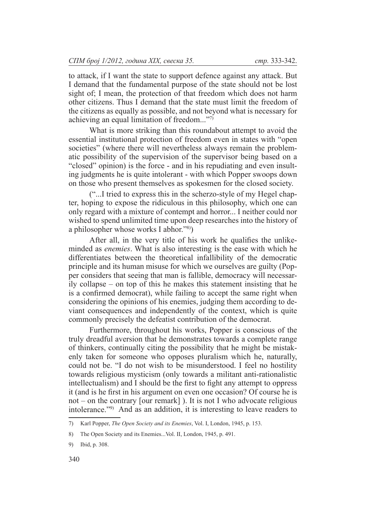to attack, if I want the state to support defence against any attack. But I demand that the fundamental purpose of the state should not be lost sight of; I mean, the protection of that freedom which does not harm other citizens. Thus I demand that the state must limit the freedom of the citizens as equally as possible, and not beyond what is necessary for achieving an equal limitation of freedom..."7)

What is more striking than this roundabout attempt to avoid the essential institutional protection of freedom even in states with "open societies" (where there will nevertheless always remain the problematic possibility of the supervision of the supervisor being based on a "closed" opinion) is the force - and in his repudiating and even insulting judgments he is quite intolerant - with which Popper swoops down on those who present themselves as spokesmen for the closed society.

("...I tried to express this in the scherzo-style of my Hegel chapter, hoping to expose the ridiculous in this philosophy, which one can only regard with a mixture of contempt and horror... I neither could nor wished to spend unlimited time upon deep researches into the history of a philosopher whose works I abhor."8))

After all, in the very title of his work he qualifies the unlikeminded as *enemies*. What is also interesting is the ease with which he differentiates between the theoretical infallibility of the democratic principle and its human misuse for which we ourselves are guilty (Popper considers that seeing that man is fallible, democracy will necessar- $\overline{i}$ ly collapse – on top of this he makes this statement insisting that he is a confirmed democrat), while failing to accept the same right when considering the opinions of his enemies, judging them according to deviant consequences and independently of the context, which is quite commonly precisely the defeatist contribution of the democrat.

Furthermore, throughout his works, Popper is conscious of the truly dreadful aversion that he demonstrates towards a complete range of thinkers, continually citing the possibility that he might be mistakenly taken for someone who opposes pluralism which he, naturally, could not be. "I do not wish to be misunderstood. I feel no hostility towards religious mysticism (only towards a militant anti-rationalistic intellectualism) and I should be the first to fight any attempt to oppress it (and is he first in his argument on even one occasion? Of course he is not – on the contrary [our remark] ). It is not I who advocate religious intolerance."9) And as an addition, it is interesting to leave readers to

<sup>7)</sup> Karl Popper, *The Open Society and its Enemies*, Vol. I, London, 1945, p. 153.

<sup>8)</sup> The Open Society and its Enemies...Vol. II, London, 1945, p. 491.

<sup>9)</sup> Ibid, p. 308.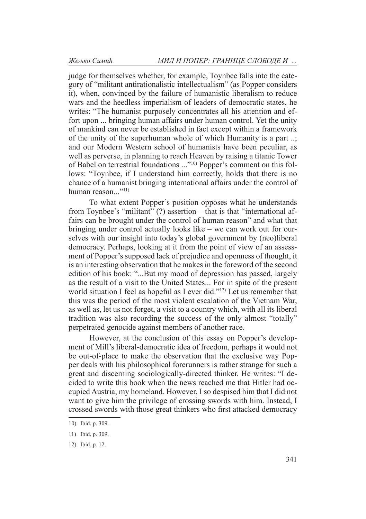judge for themselves whether, for example, Toynbee falls into the category of "militant antirationalistic intellectualism" (as Popper considers it), when, convinced by the failure of humanistic liberalism to reduce wars and the heedless imperialism of leaders of democratic states, he writes: "The humanist purposely concentrates all his attention and effort upon ... bringing human affairs under human control. Yet the unity of mankind can never be established in fact except within a framework of the unity of the superhuman whole of which Humanity is a part ..; and our Modern Western school of humanists have been peculiar, as well as perverse, in planning to reach Heaven by raising a titanic Tower of Babel on terrestrial foundations ..."10) Popper's comment on this follows: "Toynbee, if I understand him correctly, holds that there is no chance of a humanist bringing international affairs under the control of human reason $\frac{1}{11}$ 

To what extent Popper's position opposes what he understands from Toynbee's "militant" (?) assertion – that is that "international affairs can be brought under the control of human reason" and what that bringing under control actually looks like – we can work out for ourselves with our insight into today's global government by (neo)liberal democracy. Perhaps, looking at it from the point of view of an assessment of Popper's supposed lack of prejudice and openness of thought, it is an interesting observation that he makes in the foreword of the second edition of his book: "...But my mood of depression has passed, largely as the result of a visit to the United States... For in spite of the present world situation I feel as hopeful as I ever did."<sup>12)</sup> Let us remember that this was the period of the most violent escalation of the Vietnam War, as well as, let us not forget, a visit to a country which, with all its liberal tradition was also recording the success of the only almost "totally" perpetrated genocide against members of another race.

However, at the conclusion of this essay on Popper's development of Mill's liberal-democratic idea of freedom, perhaps it would not be out-of-place to make the observation that the exclusive way Popper deals with his philosophical forerunners is rather strange for such a great and discerning sociologically-directed thinker. He writes: "I decided to write this book when the news reached me that Hitler had occupied Austria, my homeland. However, I so despised him that I did not want to give him the privilege of crossing swords with him. Instead, I crossed swords with those great thinkers who first attacked democracy

<sup>10)</sup> Ibid, p. 309.

<sup>11)</sup> Ibid, p. 309.

<sup>12)</sup> Ibid, p. 12.